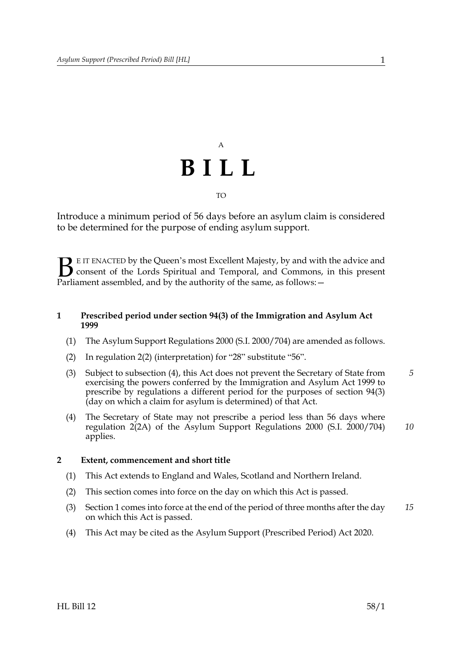

Introduce a minimum period of 56 days before an asylum claim is considered to be determined for the purpose of ending asylum support.

E IT ENACTED by the Queen's most Excellent Majesty, by and with the advice and consent of the Lords Spiritual and Temporal, and Commons, in this present **B** E IT ENACTED by the Queen's most Excellent Majesty, by and with consent of the Lords Spiritual and Temporal, and Commons, Parliament assembled, and by the authority of the same, as follows:  $-$ 

## <span id="page-0-0"></span>**1 Prescribed period under section 94(3) of the Immigration and Asylum Act 1999**

- (1) The Asylum Support Regulations 2000 (S.I. 2000/704) are amended as follows.
- (2) In regulation 2(2) (interpretation) for "28" substitute "56".
- (3) Subject to subsection (4), this Act does not prevent the Secretary of State from exercising the powers conferred by the Immigration and Asylum Act 1999 to prescribe by regulations a different period for the purposes of section 94(3) (day on which a claim for asylum is determined) of that Act. *5*
- (4) The Secretary of State may not prescribe a period less than 56 days where regulation 2(2A) of the Asylum Support Regulations 2000 (S.I. 2000/704) applies. *10*

## **2 Extent, commencement and short title**

- (1) This Act extends to England and Wales, Scotland and Northern Ireland.
- (2) This section comes into force on the day on which this Act is passed.
- (3) Section [1](#page-0-0) comes into force at the end of the period of three months after the day on which this Act is passed. *15*
- (4) This Act may be cited as the Asylum Support (Prescribed Period) Act 2020.